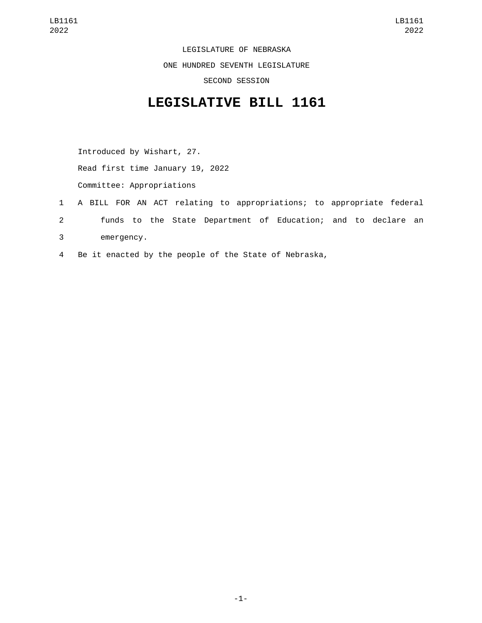LEGISLATURE OF NEBRASKA ONE HUNDRED SEVENTH LEGISLATURE SECOND SESSION

## **LEGISLATIVE BILL 1161**

Introduced by Wishart, 27. Read first time January 19, 2022 Committee: Appropriations

- 1 A BILL FOR AN ACT relating to appropriations; to appropriate federal 2 funds to the State Department of Education; and to declare an emergency.3
- 4 Be it enacted by the people of the State of Nebraska,